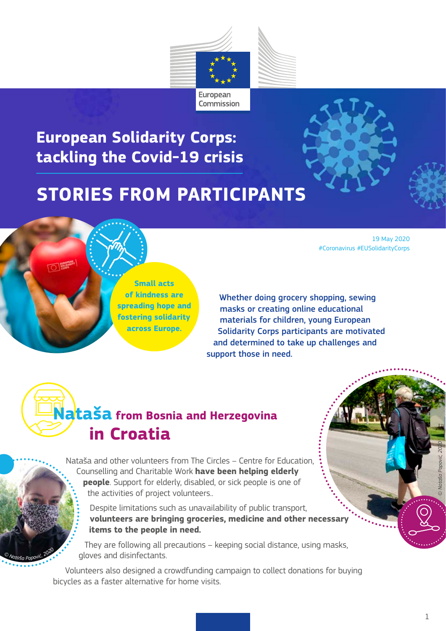

**European Solidarity Corps: tackling the Covid-19 crisis**

#### **STORIES FROM PARTICIPANTS**

19 May 2020 #Coronavirus #EUSolidarityCorps

**Small acts of kindness are spreading hope and fostering solidarity across Europe.** 

Whether doing grocery shopping, sewing masks or creating online educational materials for children, young European Solidarity Corps participants are motivated and determined to take up challenges and support those in need.

#### **Nataša from Bosnia and Herzegovina in Croatia**

*© <sup>N</sup>ataš<sup>a</sup> <sup>P</sup>opović, <sup>2</sup>02<sup>0</sup>*

Nataša and other volunteers from The Circles – Centre for Education, Counselling and Charitable Work **have been helping elderly people**. Support for elderly, disabled, or sick people is one of the activities of project volunteers..

Despite limitations such as unavailability of public transport, **volunteers are bringing groceries, medicine and other necessary items to the people in need.**

They are following all precautions – keeping social distance, using masks, gloves and disinfectants.

Volunteers also designed a crowdfunding campaign to collect donations for buying bicycles as a faster alternative for home visits.

*© Nataša Popović, 2020*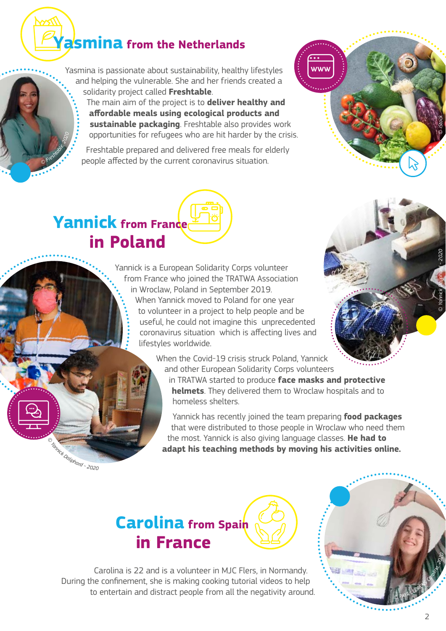#### **Yasmina from the Netherlands**

Yasmina is passionate about sustainability, healthy lifestyles and helping the vulnerable. She and her friends created a solidarity project called **Freshtable**.

The main aim of the project is to **deliver healthy and affordable meals using ecological products and sustainable packaging**. Freshtable also provides work opportunities for refugees who are hit harder by the crisis.

Freshtable prepared and delivered free meals for elderly people affected by the current coronavirus situation.



### **Yannick from France in Poland**

*©*

*F* restriction .

Yannick is a European Solidarity Corps volunteer from France who joined the TRATWA Association in Wroclaw, Poland in September 2019. When Yannick moved to Poland for one year to volunteer in a project to help people and be useful, he could not imagine this unprecedented coronavirus situation which is affecting lives and lifestyles worldwide.



When the Covid-19 crisis struck Poland, Yannick and other European Solidarity Corps volunteers

in TRATWA started to produce **face masks and protective helmets**. They delivered them to Wroclaw hospitals and to homeless shelters.

Yannick has recently joined the team preparing **food packages** that were distributed to those people in Wroclaw who need them the most. Yannick is also giving language classes. **He had to adapt his teaching methods by moving his activities online.**

*© <sup>Y</sup>annic<sup>k</sup> <sup>D</sup>aliphar<sup>d</sup> - 2020*



Carolina is 22 and is a volunteer in MJC Flers, in Normandy. During the confinement, she is making cooking tutorial videos to help to entertain and distract people from all the negativity around.